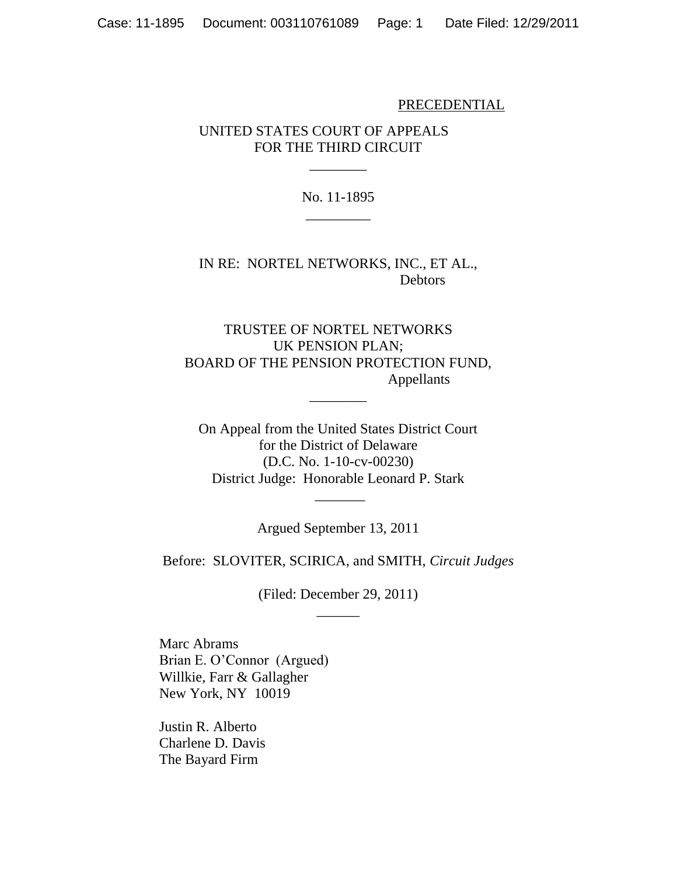### PRECEDENTIAL

# UNITED STATES COURT OF APPEALS FOR THE THIRD CIRCUIT

No. 11-1895 \_\_\_\_\_\_\_\_\_

 $\overline{\phantom{a}}$ 

IN RE: NORTEL NETWORKS, INC., ET AL., Debtors

TRUSTEE OF NORTEL NETWORKS UK PENSION PLAN; BOARD OF THE PENSION PROTECTION FUND, Appellants

 $\overline{\phantom{a}}$ 

On Appeal from the United States District Court for the District of Delaware (D.C. No. 1-10-cv-00230) District Judge: Honorable Leonard P. Stark

Argued September 13, 2011

 $\overline{\phantom{a}}$ 

Before: SLOVITER, SCIRICA, and SMITH, *Circuit Judges*

(Filed: December 29, 2011)  $\overline{\phantom{a}}$ 

Marc Abrams Brian E. O'Connor (Argued) Willkie, Farr & Gallagher New York, NY 10019

Justin R. Alberto Charlene D. Davis The Bayard Firm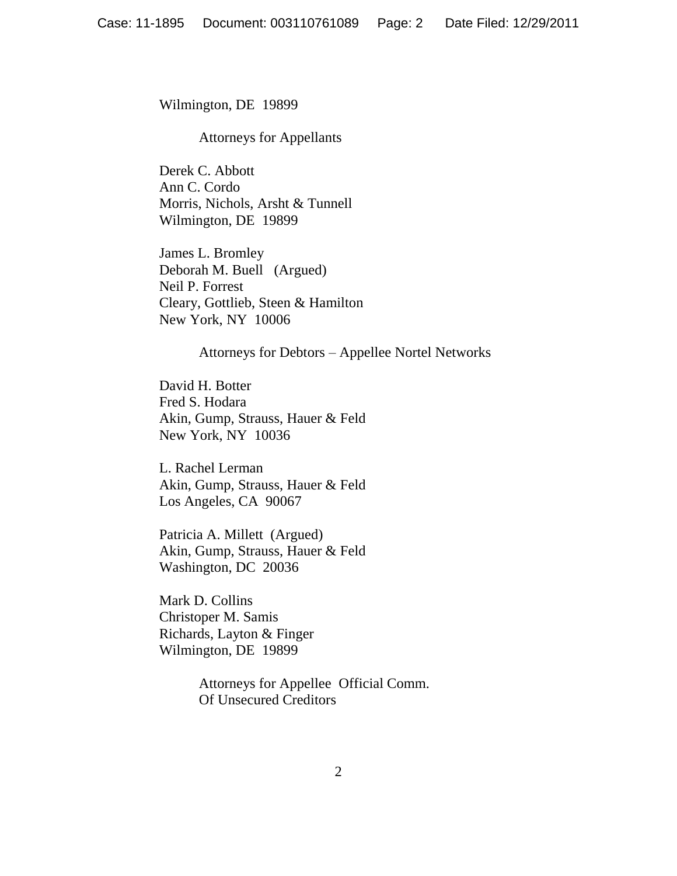Wilmington, DE 19899

#### Attorneys for Appellants

Derek C. Abbott Ann C. Cordo Morris, Nichols, Arsht & Tunnell Wilmington, DE 19899

James L. Bromley Deborah M. Buell (Argued) Neil P. Forrest Cleary, Gottlieb, Steen & Hamilton New York, NY 10006

Attorneys for Debtors – Appellee Nortel Networks

David H. Botter Fred S. Hodara Akin, Gump, Strauss, Hauer & Feld New York, NY 10036

L. Rachel Lerman Akin, Gump, Strauss, Hauer & Feld Los Angeles, CA 90067

Patricia A. Millett (Argued) Akin, Gump, Strauss, Hauer & Feld Washington, DC 20036

Mark D. Collins Christoper M. Samis Richards, Layton & Finger Wilmington, DE 19899

> Attorneys for Appellee Official Comm. Of Unsecured Creditors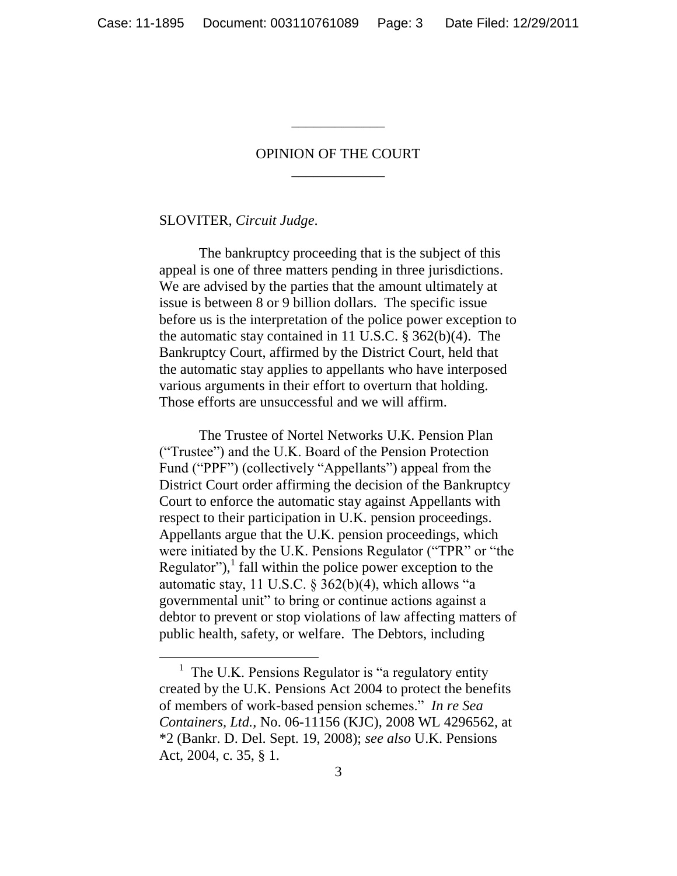# OPINION OF THE COURT \_\_\_\_\_\_\_\_\_\_\_\_\_

\_\_\_\_\_\_\_\_\_\_\_\_\_

## SLOVITER, *Circuit Judge*.

 $\overline{a}$ 

The bankruptcy proceeding that is the subject of this appeal is one of three matters pending in three jurisdictions. We are advised by the parties that the amount ultimately at issue is between 8 or 9 billion dollars. The specific issue before us is the interpretation of the police power exception to the automatic stay contained in 11 U.S.C. § 362(b)(4). The Bankruptcy Court, affirmed by the District Court, held that the automatic stay applies to appellants who have interposed various arguments in their effort to overturn that holding. Those efforts are unsuccessful and we will affirm.

The Trustee of Nortel Networks U.K. Pension Plan (―Trustee‖) and the U.K. Board of the Pension Protection Fund ("PPF") (collectively "Appellants") appeal from the District Court order affirming the decision of the Bankruptcy Court to enforce the automatic stay against Appellants with respect to their participation in U.K. pension proceedings. Appellants argue that the U.K. pension proceedings, which were initiated by the U.K. Pensions Regulator ("TPR" or "the Regulator"), $\frac{1}{1}$  fall within the police power exception to the automatic stay, 11 U.S.C. § 362(b)(4), which allows "a governmental unit" to bring or continue actions against a debtor to prevent or stop violations of law affecting matters of public health, safety, or welfare. The Debtors, including

 $<sup>1</sup>$  The U.K. Pensions Regulator is "a regulatory entity</sup> created by the U.K. Pensions Act 2004 to protect the benefits of members of work-based pension schemes.‖ *In re Sea Containers, Ltd.*, No. 06-11156 (KJC), 2008 WL 4296562, at \*2 (Bankr. D. Del. Sept. 19, 2008); *see also* U.K. Pensions Act, 2004, c. 35, § 1.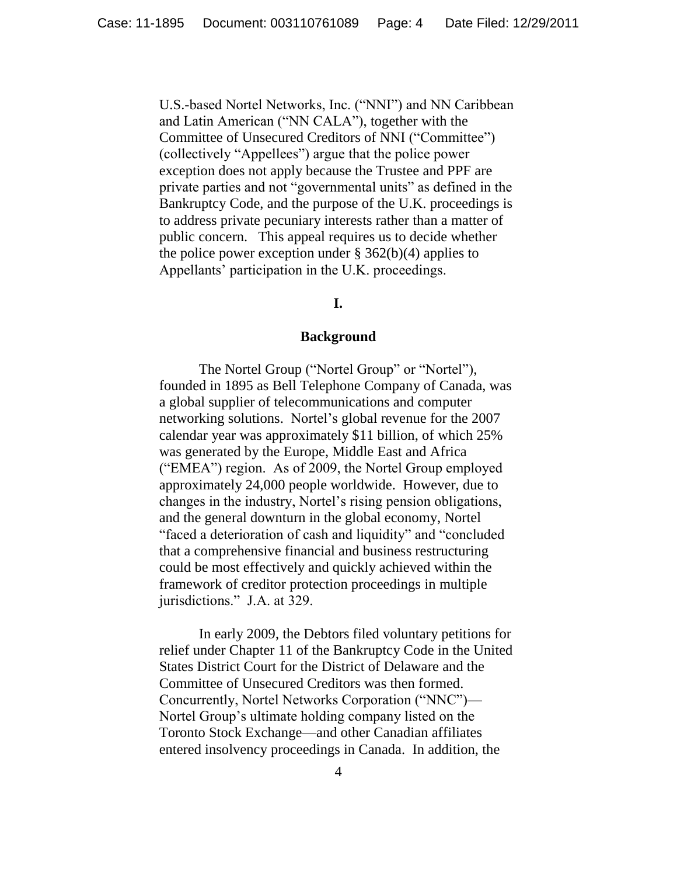U.S.-based Nortel Networks, Inc. ("NNI") and NN Caribbean and Latin American ("NN CALA"), together with the Committee of Unsecured Creditors of NNI ("Committee") (collectively "Appellees") argue that the police power exception does not apply because the Trustee and PPF are private parties and not "governmental units" as defined in the Bankruptcy Code, and the purpose of the U.K. proceedings is to address private pecuniary interests rather than a matter of public concern. This appeal requires us to decide whether the police power exception under  $\S 362(b)(4)$  applies to Appellants' participation in the U.K. proceedings.

# **I.**

#### **Background**

The Nortel Group ("Nortel Group" or "Nortel"), founded in 1895 as Bell Telephone Company of Canada, was a global supplier of telecommunications and computer networking solutions. Nortel's global revenue for the 2007 calendar year was approximately \$11 billion, of which 25% was generated by the Europe, Middle East and Africa ("EMEA") region. As of 2009, the Nortel Group employed approximately 24,000 people worldwide. However, due to changes in the industry, Nortel's rising pension obligations, and the general downturn in the global economy, Nortel "faced a deterioration of cash and liquidity" and "concluded" that a comprehensive financial and business restructuring could be most effectively and quickly achieved within the framework of creditor protection proceedings in multiple jurisdictions." J.A. at 329.

In early 2009, the Debtors filed voluntary petitions for relief under Chapter 11 of the Bankruptcy Code in the United States District Court for the District of Delaware and the Committee of Unsecured Creditors was then formed. Concurrently, Nortel Networks Corporation ("NNC")-Nortel Group's ultimate holding company listed on the Toronto Stock Exchange—and other Canadian affiliates entered insolvency proceedings in Canada. In addition, the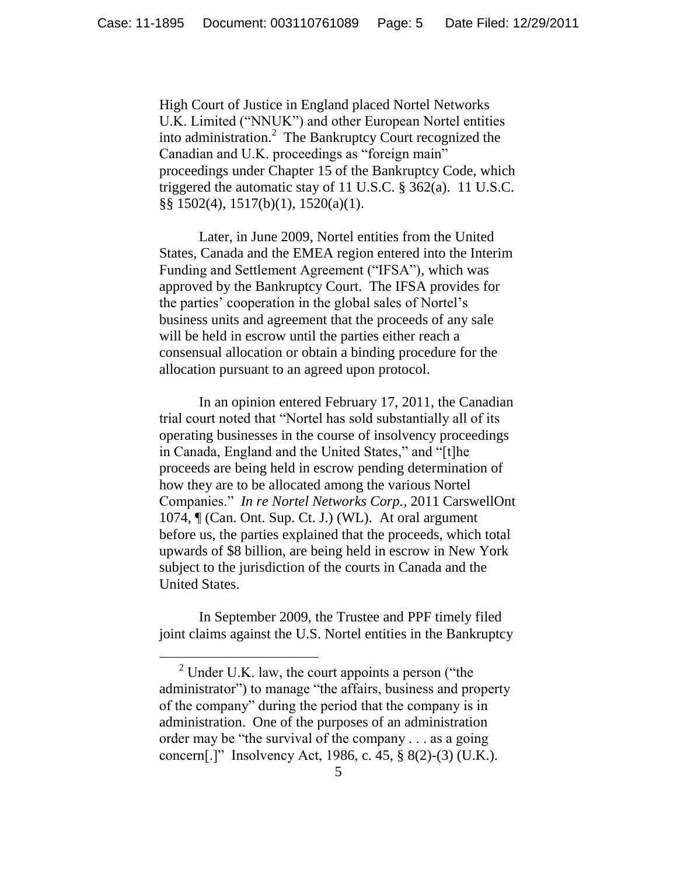High Court of Justice in England placed Nortel Networks U.K. Limited ("NNUK") and other European Nortel entities into administration.<sup>2</sup> The Bankruptcy Court recognized the Canadian and U.K. proceedings as "foreign main" proceedings under Chapter 15 of the Bankruptcy Code, which triggered the automatic stay of 11 U.S.C. § 362(a). 11 U.S.C. §§ 1502(4), 1517(b)(1), 1520(a)(1).

Later, in June 2009, Nortel entities from the United States, Canada and the EMEA region entered into the Interim Funding and Settlement Agreement ("IFSA"), which was approved by the Bankruptcy Court. The IFSA provides for the parties' cooperation in the global sales of Nortel's business units and agreement that the proceeds of any sale will be held in escrow until the parties either reach a consensual allocation or obtain a binding procedure for the allocation pursuant to an agreed upon protocol.

In an opinion entered February 17, 2011, the Canadian trial court noted that "Nortel has sold substantially all of its operating businesses in the course of insolvency proceedings in Canada, England and the United States," and "[t]he proceeds are being held in escrow pending determination of how they are to be allocated among the various Nortel Companies.‖ *In re Nortel Networks Corp.*, 2011 CarswellOnt 1074, ¶ (Can. Ont. Sup. Ct. J.) (WL). At oral argument before us, the parties explained that the proceeds, which total upwards of \$8 billion, are being held in escrow in New York subject to the jurisdiction of the courts in Canada and the United States.

In September 2009, the Trustee and PPF timely filed joint claims against the U.S. Nortel entities in the Bankruptcy

 $\overline{a}$ 

 $2$  Under U.K. law, the court appoints a person ("the administrator") to manage "the affairs, business and property of the company" during the period that the company is in administration. One of the purposes of an administration order may be "the survival of the company  $\ldots$  as a going concern[.]" Insolvency Act, 1986, c. 45,  $\S$  8(2)-(3) (U.K.).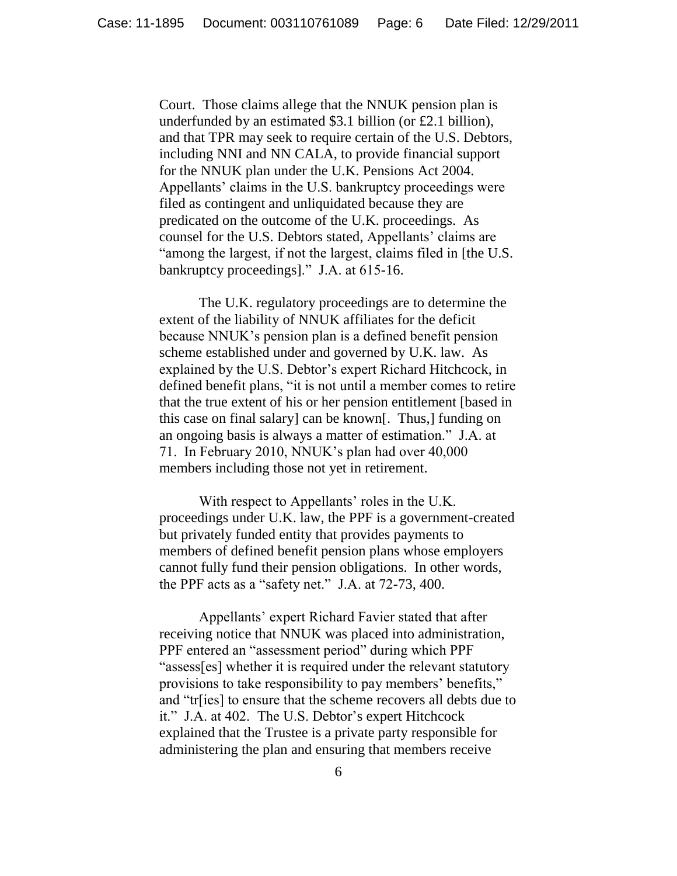Court. Those claims allege that the NNUK pension plan is underfunded by an estimated \$3.1 billion (or £2.1 billion), and that TPR may seek to require certain of the U.S. Debtors, including NNI and NN CALA, to provide financial support for the NNUK plan under the U.K. Pensions Act 2004. Appellants' claims in the U.S. bankruptcy proceedings were filed as contingent and unliquidated because they are predicated on the outcome of the U.K. proceedings. As counsel for the U.S. Debtors stated, Appellants' claims are "among the largest, if not the largest, claims filed in [the U.S. bankruptcy proceedings]." J.A. at  $615-16$ .

The U.K. regulatory proceedings are to determine the extent of the liability of NNUK affiliates for the deficit because NNUK's pension plan is a defined benefit pension scheme established under and governed by U.K. law. As explained by the U.S. Debtor's expert Richard Hitchcock, in defined benefit plans, "it is not until a member comes to retire that the true extent of his or her pension entitlement [based in this case on final salary] can be known[. Thus,] funding on an ongoing basis is always a matter of estimation." J.A. at 71. In February 2010, NNUK's plan had over 40,000 members including those not yet in retirement.

With respect to Appellants' roles in the U.K. proceedings under U.K. law, the PPF is a government-created but privately funded entity that provides payments to members of defined benefit pension plans whose employers cannot fully fund their pension obligations. In other words, the PPF acts as a "safety net." J.A. at  $72-73$ , 400.

Appellants' expert Richard Favier stated that after receiving notice that NNUK was placed into administration, PPF entered an "assessment period" during which PPF "assess[es] whether it is required under the relevant statutory provisions to take responsibility to pay members' benefits," and "tr[ies] to ensure that the scheme recovers all debts due to it." J.A. at 402. The U.S. Debtor's expert Hitchcock explained that the Trustee is a private party responsible for administering the plan and ensuring that members receive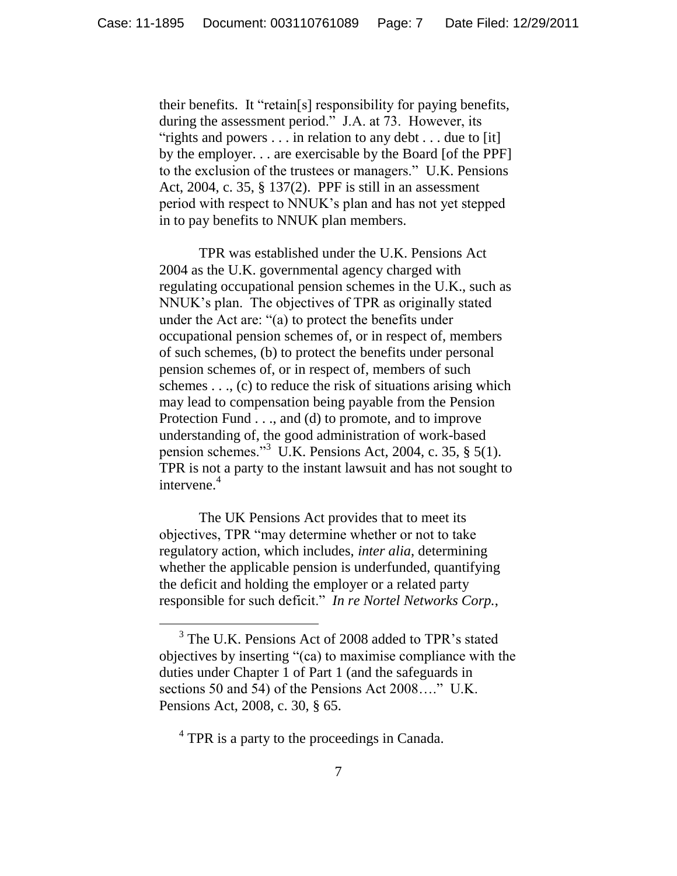their benefits. It "retain[s] responsibility for paying benefits, during the assessment period." J.A. at 73. However, its "rights and powers  $\dots$  in relation to any debt  $\dots$  due to [it] by the employer. . . are exercisable by the Board [of the PPF] to the exclusion of the trustees or managers." U.K. Pensions Act, 2004, c. 35, § 137(2). PPF is still in an assessment period with respect to NNUK's plan and has not yet stepped in to pay benefits to NNUK plan members.

TPR was established under the U.K. Pensions Act 2004 as the U.K. governmental agency charged with regulating occupational pension schemes in the U.K., such as NNUK's plan. The objectives of TPR as originally stated under the Act are: " $(a)$  to protect the benefits under occupational pension schemes of, or in respect of, members of such schemes, (b) to protect the benefits under personal pension schemes of, or in respect of, members of such schemes  $\dots$ , (c) to reduce the risk of situations arising which may lead to compensation being payable from the Pension Protection Fund . . ., and (d) to promote, and to improve understanding of, the good administration of work-based pension schemes."<sup>3</sup> U.K. Pensions Act, 2004, c. 35,  $\S$  5(1). TPR is not a party to the instant lawsuit and has not sought to intervene.<sup>4</sup>

The UK Pensions Act provides that to meet its objectives, TPR "may determine whether or not to take regulatory action, which includes, *inter alia*, determining whether the applicable pension is underfunded, quantifying the deficit and holding the employer or a related party responsible for such deficit." In re Nortel Networks Corp.,

<sup>4</sup> TPR is a party to the proceedings in Canada.

 $\overline{a}$ 

<sup>&</sup>lt;sup>3</sup> The U.K. Pensions Act of 2008 added to TPR's stated objectives by inserting ―(ca) to maximise compliance with the duties under Chapter 1 of Part 1 (and the safeguards in sections 50 and 54) of the Pensions Act  $2008...$ ..." U.K. Pensions Act, 2008, c. 30, § 65.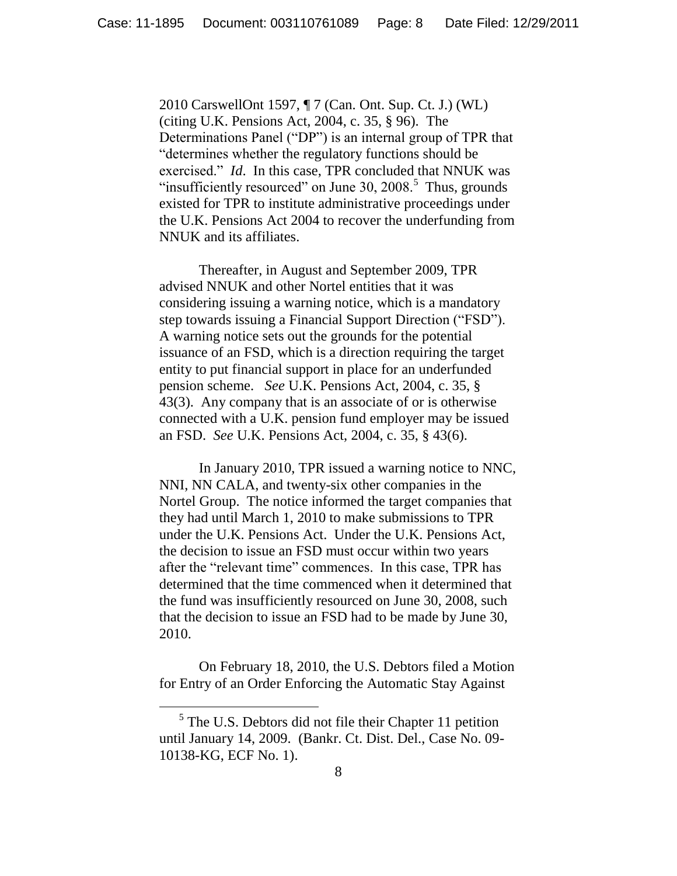2010 CarswellOnt 1597, ¶ 7 (Can. Ont. Sup. Ct. J.) (WL) (citing U.K. Pensions Act, 2004, c. 35, § 96). The Determinations Panel ("DP") is an internal group of TPR that "determines whether the regulatory functions should be exercised." *Id.* In this case, TPR concluded that NNUK was "insufficiently resourced" on June 30,  $2008$ .<sup>5</sup> Thus, grounds existed for TPR to institute administrative proceedings under the U.K. Pensions Act 2004 to recover the underfunding from NNUK and its affiliates.

Thereafter, in August and September 2009, TPR advised NNUK and other Nortel entities that it was considering issuing a warning notice, which is a mandatory step towards issuing a Financial Support Direction ("FSD"). A warning notice sets out the grounds for the potential issuance of an FSD, which is a direction requiring the target entity to put financial support in place for an underfunded pension scheme. *See* U.K. Pensions Act, 2004, c. 35, § 43(3). Any company that is an associate of or is otherwise connected with a U.K. pension fund employer may be issued an FSD. *See* U.K. Pensions Act, 2004, c. 35, § 43(6).

In January 2010, TPR issued a warning notice to NNC, NNI, NN CALA, and twenty-six other companies in the Nortel Group. The notice informed the target companies that they had until March 1, 2010 to make submissions to TPR under the U.K. Pensions Act. Under the U.K. Pensions Act, the decision to issue an FSD must occur within two years after the "relevant time" commences. In this case, TPR has determined that the time commenced when it determined that the fund was insufficiently resourced on June 30, 2008, such that the decision to issue an FSD had to be made by June 30, 2010.

On February 18, 2010, the U.S. Debtors filed a Motion for Entry of an Order Enforcing the Automatic Stay Against

<sup>&</sup>lt;sup>5</sup> The U.S. Debtors did not file their Chapter 11 petition until January 14, 2009. (Bankr. Ct. Dist. Del., Case No. 09- 10138-KG, ECF No. 1).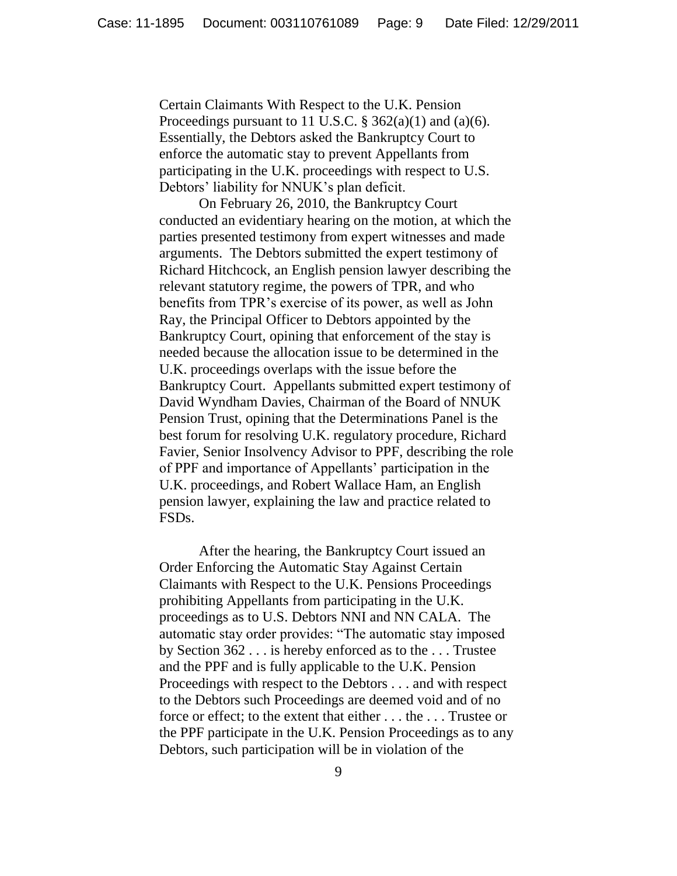Certain Claimants With Respect to the U.K. Pension Proceedings pursuant to 11 U.S.C.  $\S$  362(a)(1) and (a)(6). Essentially, the Debtors asked the Bankruptcy Court to enforce the automatic stay to prevent Appellants from participating in the U.K. proceedings with respect to U.S. Debtors' liability for NNUK's plan deficit.

On February 26, 2010, the Bankruptcy Court conducted an evidentiary hearing on the motion, at which the parties presented testimony from expert witnesses and made arguments. The Debtors submitted the expert testimony of Richard Hitchcock, an English pension lawyer describing the relevant statutory regime, the powers of TPR, and who benefits from TPR's exercise of its power, as well as John Ray, the Principal Officer to Debtors appointed by the Bankruptcy Court, opining that enforcement of the stay is needed because the allocation issue to be determined in the U.K. proceedings overlaps with the issue before the Bankruptcy Court. Appellants submitted expert testimony of David Wyndham Davies, Chairman of the Board of NNUK Pension Trust, opining that the Determinations Panel is the best forum for resolving U.K. regulatory procedure, Richard Favier, Senior Insolvency Advisor to PPF, describing the role of PPF and importance of Appellants' participation in the U.K. proceedings, and Robert Wallace Ham, an English pension lawyer, explaining the law and practice related to FSDs.

After the hearing, the Bankruptcy Court issued an Order Enforcing the Automatic Stay Against Certain Claimants with Respect to the U.K. Pensions Proceedings prohibiting Appellants from participating in the U.K. proceedings as to U.S. Debtors NNI and NN CALA. The automatic stay order provides: "The automatic stay imposed by Section 362 . . . is hereby enforced as to the . . . Trustee and the PPF and is fully applicable to the U.K. Pension Proceedings with respect to the Debtors . . . and with respect to the Debtors such Proceedings are deemed void and of no force or effect; to the extent that either . . . the . . . Trustee or the PPF participate in the U.K. Pension Proceedings as to any Debtors, such participation will be in violation of the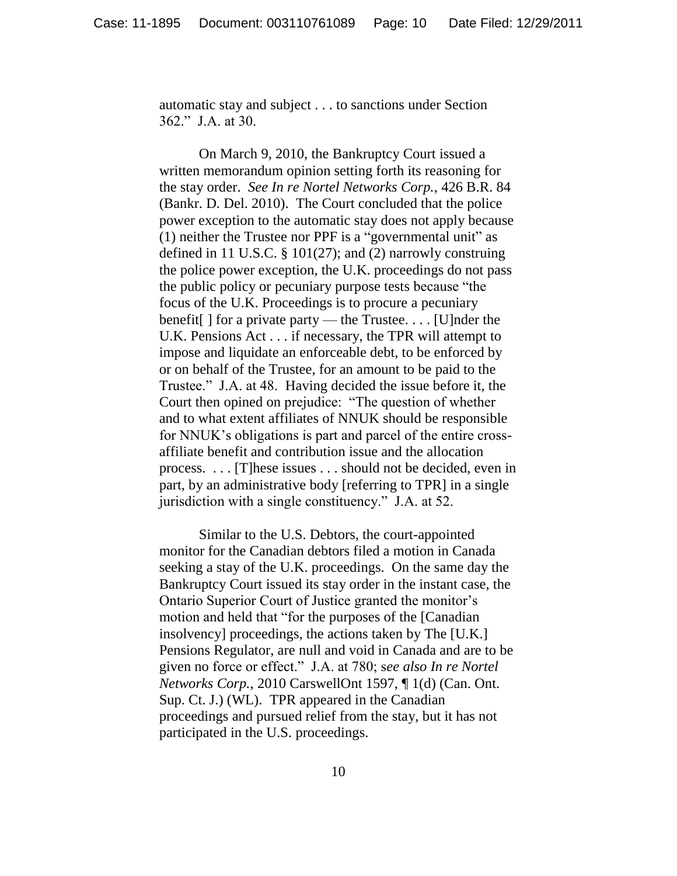automatic stay and subject . . . to sanctions under Section 362." J.A. at 30.

On March 9, 2010, the Bankruptcy Court issued a written memorandum opinion setting forth its reasoning for the stay order. *See In re Nortel Networks Corp.*, 426 B.R. 84 (Bankr. D. Del. 2010). The Court concluded that the police power exception to the automatic stay does not apply because (1) neither the Trustee nor PPF is a "governmental unit" as defined in 11 U.S.C. § 101(27); and (2) narrowly construing the police power exception, the U.K. proceedings do not pass the public policy or pecuniary purpose tests because "the focus of the U.K. Proceedings is to procure a pecuniary benefit[ ] for a private party — the Trustee. . . . [U]nder the U.K. Pensions Act . . . if necessary, the TPR will attempt to impose and liquidate an enforceable debt, to be enforced by or on behalf of the Trustee, for an amount to be paid to the Trustee." J.A. at 48. Having decided the issue before it, the Court then opined on prejudice: "The question of whether and to what extent affiliates of NNUK should be responsible for NNUK's obligations is part and parcel of the entire crossaffiliate benefit and contribution issue and the allocation process. . . . [T]hese issues . . . should not be decided, even in part, by an administrative body [referring to TPR] in a single jurisdiction with a single constituency." J.A. at 52.

Similar to the U.S. Debtors, the court-appointed monitor for the Canadian debtors filed a motion in Canada seeking a stay of the U.K. proceedings. On the same day the Bankruptcy Court issued its stay order in the instant case, the Ontario Superior Court of Justice granted the monitor's motion and held that "for the purposes of the [Canadian] insolvency] proceedings, the actions taken by The [U.K.] Pensions Regulator, are null and void in Canada and are to be given no force or effect.‖ J.A. at 780; s*ee also In re Nortel Networks Corp.*, 2010 CarswellOnt 1597, ¶ 1(d) (Can. Ont. Sup. Ct. J.) (WL). TPR appeared in the Canadian proceedings and pursued relief from the stay, but it has not participated in the U.S. proceedings.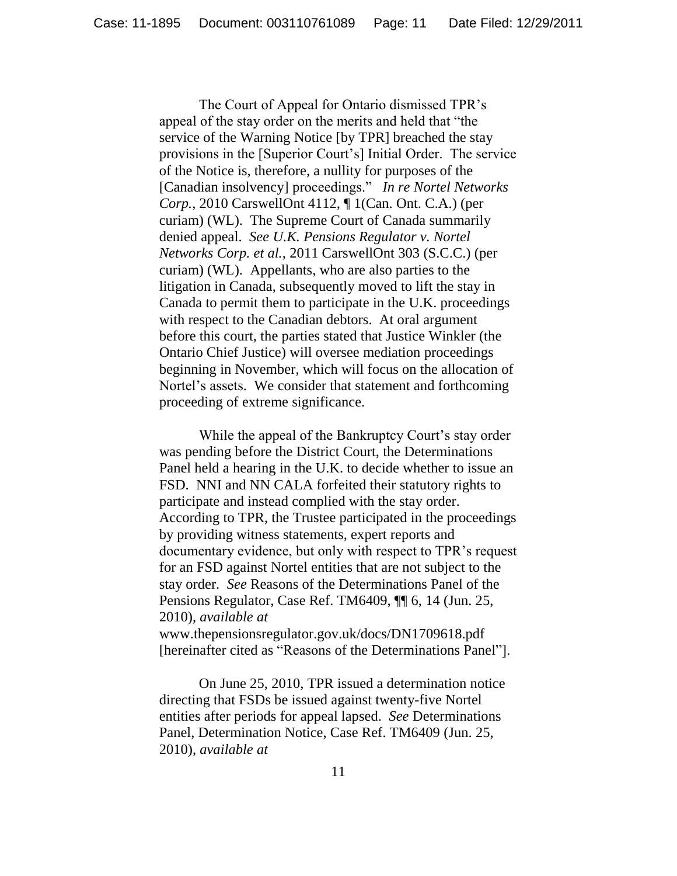The Court of Appeal for Ontario dismissed TPR's appeal of the stay order on the merits and held that "the service of the Warning Notice [by TPR] breached the stay provisions in the [Superior Court's] Initial Order. The service of the Notice is, therefore, a nullity for purposes of the [Canadian insolvency] proceedings.‖ *In re Nortel Networks Corp.*, 2010 CarswellOnt 4112, ¶ 1(Can. Ont. C.A.) (per curiam) (WL). The Supreme Court of Canada summarily denied appeal. *See U.K. Pensions Regulator v. Nortel Networks Corp. et al.*, 2011 CarswellOnt 303 (S.C.C.) (per curiam) (WL). Appellants, who are also parties to the litigation in Canada, subsequently moved to lift the stay in Canada to permit them to participate in the U.K. proceedings with respect to the Canadian debtors. At oral argument before this court, the parties stated that Justice Winkler (the Ontario Chief Justice) will oversee mediation proceedings beginning in November, which will focus on the allocation of Nortel's assets. We consider that statement and forthcoming proceeding of extreme significance.

While the appeal of the Bankruptcy Court's stay order was pending before the District Court, the Determinations Panel held a hearing in the U.K. to decide whether to issue an FSD. NNI and NN CALA forfeited their statutory rights to participate and instead complied with the stay order. According to TPR, the Trustee participated in the proceedings by providing witness statements, expert reports and documentary evidence, but only with respect to TPR's request for an FSD against Nortel entities that are not subject to the stay order. *See* Reasons of the Determinations Panel of the Pensions Regulator, Case Ref. TM6409, ¶¶ 6, 14 (Jun. 25, 2010), *available at* 

www.thepensionsregulator.gov.uk/docs/DN1709618.pdf [hereinafter cited as "Reasons of the Determinations Panel"].

On June 25, 2010, TPR issued a determination notice directing that FSDs be issued against twenty-five Nortel entities after periods for appeal lapsed. *See* Determinations Panel, Determination Notice, Case Ref. TM6409 (Jun. 25, 2010), *available at*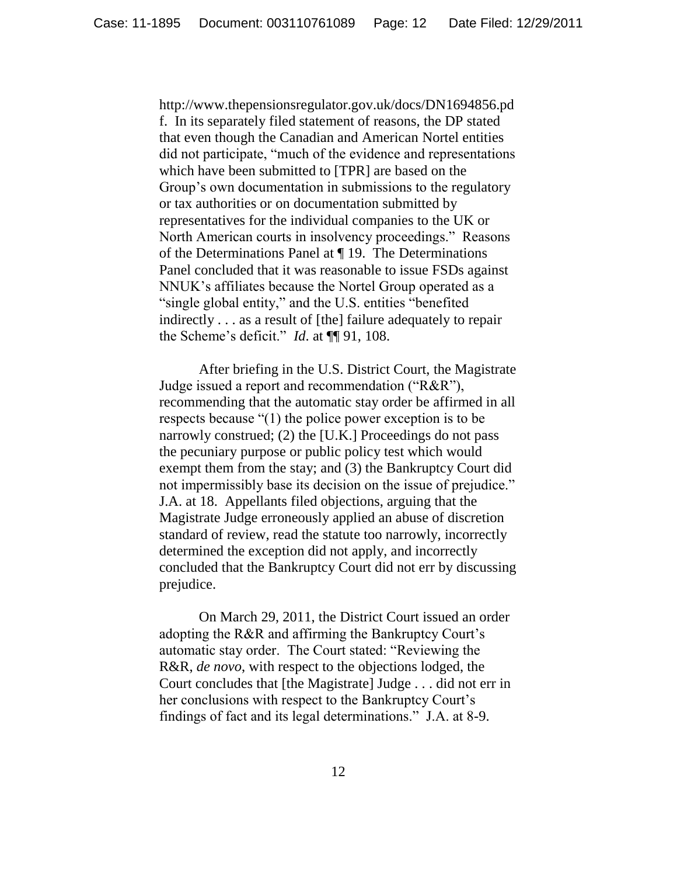http://www.thepensionsregulator.gov.uk/docs/DN1694856.pd f. In its separately filed statement of reasons, the DP stated that even though the Canadian and American Nortel entities did not participate, "much of the evidence and representations" which have been submitted to [TPR] are based on the Group's own documentation in submissions to the regulatory or tax authorities or on documentation submitted by representatives for the individual companies to the UK or North American courts in insolvency proceedings." Reasons of the Determinations Panel at ¶ 19. The Determinations Panel concluded that it was reasonable to issue FSDs against NNUK's affiliates because the Nortel Group operated as a "single global entity," and the U.S. entities "benefited" indirectly . . . as a result of [the] failure adequately to repair the Scheme's deficit." *Id.* at  $\P$ [91, 108.

After briefing in the U.S. District Court, the Magistrate Judge issued a report and recommendation ( $R&R$ <sup>n</sup>), recommending that the automatic stay order be affirmed in all respects because  $(1)$  the police power exception is to be narrowly construed; (2) the [U.K.] Proceedings do not pass the pecuniary purpose or public policy test which would exempt them from the stay; and (3) the Bankruptcy Court did not impermissibly base its decision on the issue of prejudice." J.A. at 18. Appellants filed objections, arguing that the Magistrate Judge erroneously applied an abuse of discretion standard of review, read the statute too narrowly, incorrectly determined the exception did not apply, and incorrectly concluded that the Bankruptcy Court did not err by discussing prejudice.

On March 29, 2011, the District Court issued an order adopting the R&R and affirming the Bankruptcy Court's automatic stay order. The Court stated: "Reviewing the R&R, *de novo*, with respect to the objections lodged, the Court concludes that [the Magistrate] Judge . . . did not err in her conclusions with respect to the Bankruptcy Court's findings of fact and its legal determinations." J.A. at 8-9.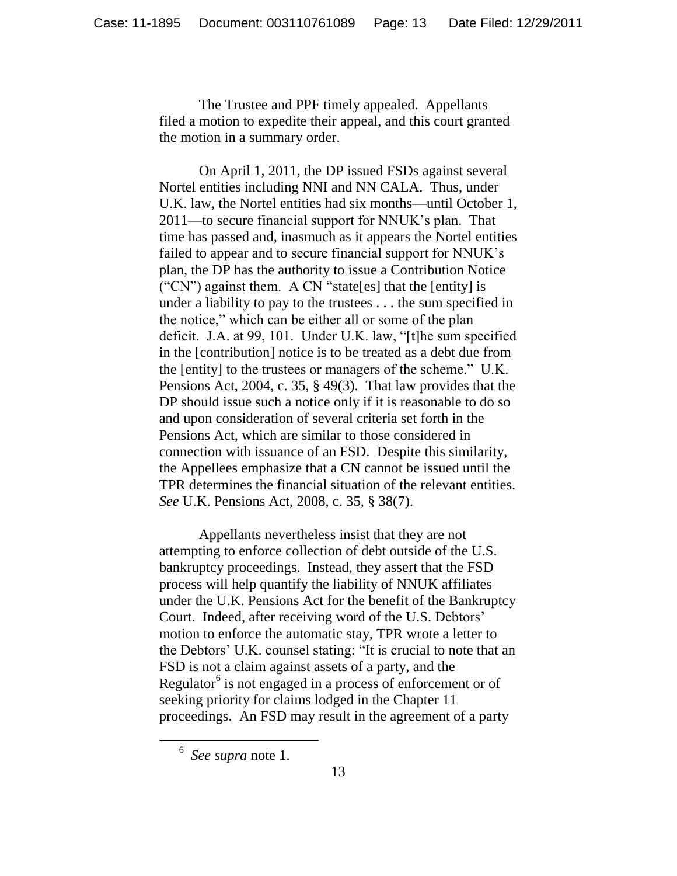The Trustee and PPF timely appealed. Appellants filed a motion to expedite their appeal, and this court granted the motion in a summary order.

On April 1, 2011, the DP issued FSDs against several Nortel entities including NNI and NN CALA. Thus, under U.K. law, the Nortel entities had six months—until October 1, 2011—to secure financial support for NNUK's plan. That time has passed and, inasmuch as it appears the Nortel entities failed to appear and to secure financial support for NNUK's plan, the DP has the authority to issue a Contribution Notice  $($ "CN") against them. A CN "state[es] that the [entity] is under a liability to pay to the trustees . . . the sum specified in the notice," which can be either all or some of the plan deficit. J.A. at 99, 101. Under U.K. law, "[t]he sum specified in the [contribution] notice is to be treated as a debt due from the [entity] to the trustees or managers of the scheme." U.K. Pensions Act, 2004, c. 35, § 49(3). That law provides that the DP should issue such a notice only if it is reasonable to do so and upon consideration of several criteria set forth in the Pensions Act, which are similar to those considered in connection with issuance of an FSD. Despite this similarity, the Appellees emphasize that a CN cannot be issued until the TPR determines the financial situation of the relevant entities. *See* U.K. Pensions Act, 2008, c. 35, § 38(7).

Appellants nevertheless insist that they are not attempting to enforce collection of debt outside of the U.S. bankruptcy proceedings. Instead, they assert that the FSD process will help quantify the liability of NNUK affiliates under the U.K. Pensions Act for the benefit of the Bankruptcy Court. Indeed, after receiving word of the U.S. Debtors' motion to enforce the automatic stay, TPR wrote a letter to the Debtors' U.K. counsel stating: "It is crucial to note that an FSD is not a claim against assets of a party, and the Regulator $6$  is not engaged in a process of enforcement or of seeking priority for claims lodged in the Chapter 11 proceedings. An FSD may result in the agreement of a party

<sup>6</sup> *See supra* note 1.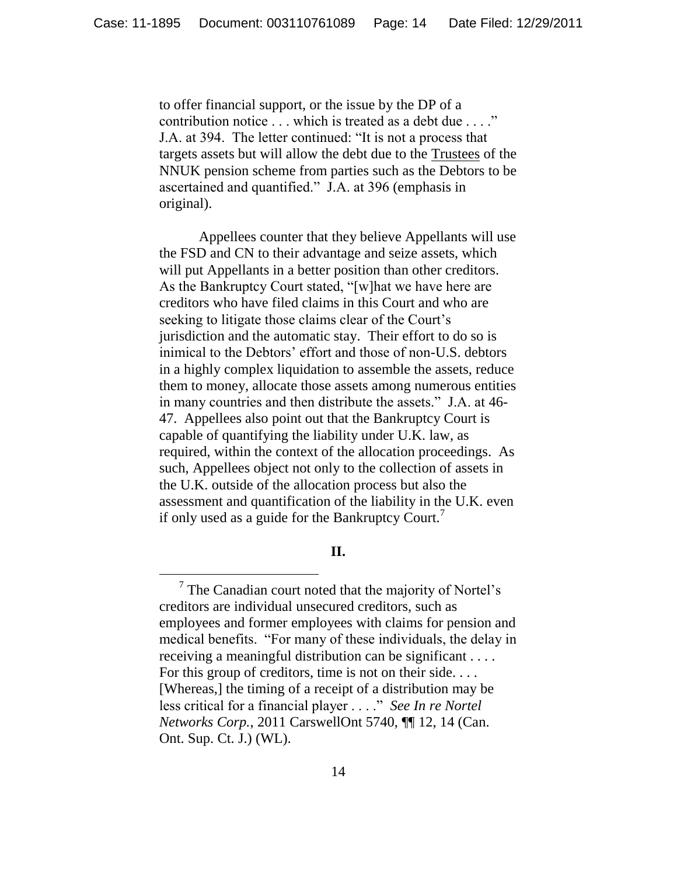to offer financial support, or the issue by the DP of a contribution notice . . . which is treated as a debt due . . . ." J.A. at 394. The letter continued: "It is not a process that targets assets but will allow the debt due to the Trustees of the NNUK pension scheme from parties such as the Debtors to be ascertained and quantified." J.A. at 396 (emphasis in original).

Appellees counter that they believe Appellants will use the FSD and CN to their advantage and seize assets, which will put Appellants in a better position than other creditors. As the Bankruptcy Court stated, "[w]hat we have here are creditors who have filed claims in this Court and who are seeking to litigate those claims clear of the Court's jurisdiction and the automatic stay. Their effort to do so is inimical to the Debtors' effort and those of non-U.S. debtors in a highly complex liquidation to assemble the assets, reduce them to money, allocate those assets among numerous entities in many countries and then distribute the assets." J.A. at 46-47. Appellees also point out that the Bankruptcy Court is capable of quantifying the liability under U.K. law, as required, within the context of the allocation proceedings. As such, Appellees object not only to the collection of assets in the U.K. outside of the allocation process but also the assessment and quantification of the liability in the U.K. even if only used as a guide for the Bankruptcy Court.

**II.**

 $7$  The Canadian court noted that the majority of Nortel's creditors are individual unsecured creditors, such as employees and former employees with claims for pension and medical benefits. "For many of these individuals, the delay in receiving a meaningful distribution can be significant . . . . For this group of creditors, time is not on their side.... [Whereas,] the timing of a receipt of a distribution may be less critical for a financial player . . . .<sup>"</sup> *See In re Nortel Networks Corp.*, 2011 CarswellOnt 5740, ¶¶ 12, 14 (Can. Ont. Sup. Ct. J.) (WL).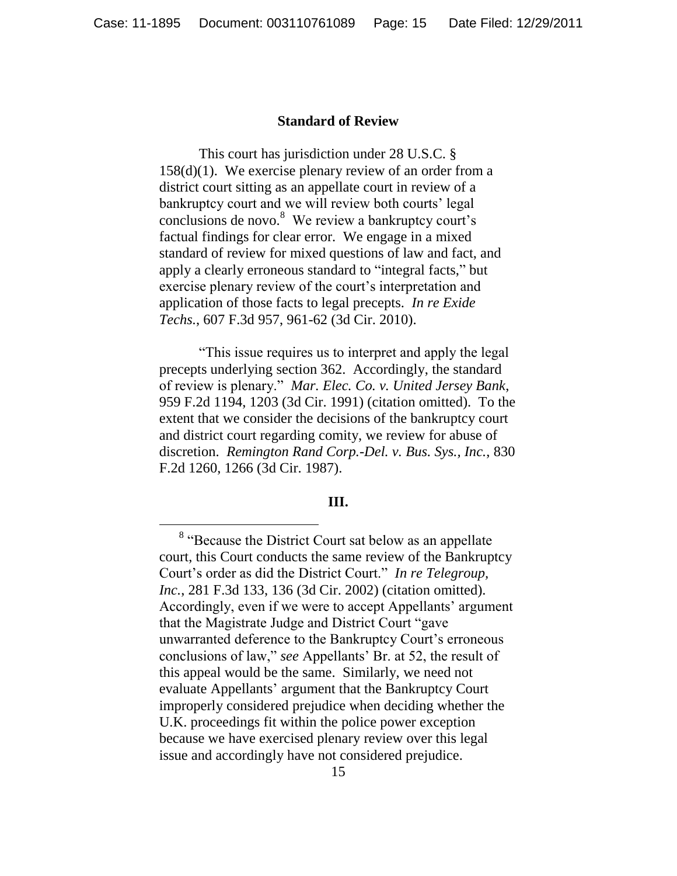# **Standard of Review**

This court has jurisdiction under 28 U.S.C. § 158(d)(1). We exercise plenary review of an order from a district court sitting as an appellate court in review of a bankruptcy court and we will review both courts' legal conclusions de novo.<sup>8</sup> We review a bankruptcy court's factual findings for clear error. We engage in a mixed standard of review for mixed questions of law and fact, and apply a clearly erroneous standard to "integral facts," but exercise plenary review of the court's interpretation and application of those facts to legal precepts. *In re Exide Techs.*, 607 F.3d 957, 961-62 (3d Cir. 2010).

―This issue requires us to interpret and apply the legal precepts underlying section 362. Accordingly, the standard of review is plenary.‖ *Mar. Elec. Co. v. United Jersey Bank*, 959 F.2d 1194, 1203 (3d Cir. 1991) (citation omitted). To the extent that we consider the decisions of the bankruptcy court and district court regarding comity, we review for abuse of discretion. *Remington Rand Corp.-Del. v. Bus. Sys., Inc.*, 830 F.2d 1260, 1266 (3d Cir. 1987).

#### **III.**

 $\overline{a}$ 

<sup>&</sup>lt;sup>8</sup> "Because the District Court sat below as an appellate court, this Court conducts the same review of the Bankruptcy Court's order as did the District Court." *In re Telegroup*, *Inc.*, 281 F.3d 133, 136 (3d Cir. 2002) (citation omitted). Accordingly, even if we were to accept Appellants' argument that the Magistrate Judge and District Court "gave" unwarranted deference to the Bankruptcy Court's erroneous conclusions of law,‖ *see* Appellants' Br. at 52, the result of this appeal would be the same. Similarly, we need not evaluate Appellants' argument that the Bankruptcy Court improperly considered prejudice when deciding whether the U.K. proceedings fit within the police power exception because we have exercised plenary review over this legal issue and accordingly have not considered prejudice.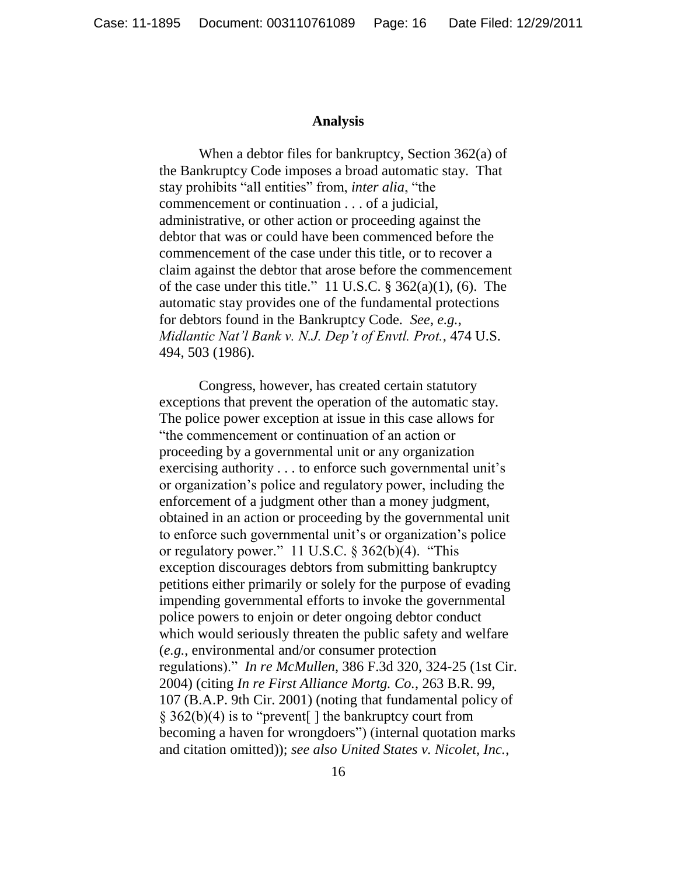### **Analysis**

When a debtor files for bankruptcy, Section 362(a) of the Bankruptcy Code imposes a broad automatic stay. That stay prohibits "all entities" from, *inter alia*, "the commencement or continuation . . . of a judicial, administrative, or other action or proceeding against the debtor that was or could have been commenced before the commencement of the case under this title, or to recover a claim against the debtor that arose before the commencement of the case under this title." 11 U.S.C.  $\S$  362(a)(1), (6). The automatic stay provides one of the fundamental protections for debtors found in the Bankruptcy Code. *See, e.g.*, *Midlantic Nat'l Bank v. N.J. Dep't of Envtl. Prot.*, 474 U.S. 494, 503 (1986).

Congress, however, has created certain statutory exceptions that prevent the operation of the automatic stay. The police power exception at issue in this case allows for "the commencement or continuation of an action or proceeding by a governmental unit or any organization exercising authority . . . to enforce such governmental unit's or organization's police and regulatory power, including the enforcement of a judgment other than a money judgment, obtained in an action or proceeding by the governmental unit to enforce such governmental unit's or organization's police or regulatory power." 11 U.S.C.  $\S 362(b)(4)$ . "This exception discourages debtors from submitting bankruptcy petitions either primarily or solely for the purpose of evading impending governmental efforts to invoke the governmental police powers to enjoin or deter ongoing debtor conduct which would seriously threaten the public safety and welfare (*e.g.*, environmental and/or consumer protection regulations).‖ *In re McMullen*, 386 F.3d 320, 324-25 (1st Cir. 2004) (citing *In re First Alliance Mortg. Co.*, 263 B.R. 99, 107 (B.A.P. 9th Cir. 2001) (noting that fundamental policy of  $\S$  362(b)(4) is to "prevent | the bankruptcy court from becoming a haven for wrongdoers") (internal quotation marks and citation omitted)); *see also United States v. Nicolet, Inc.*,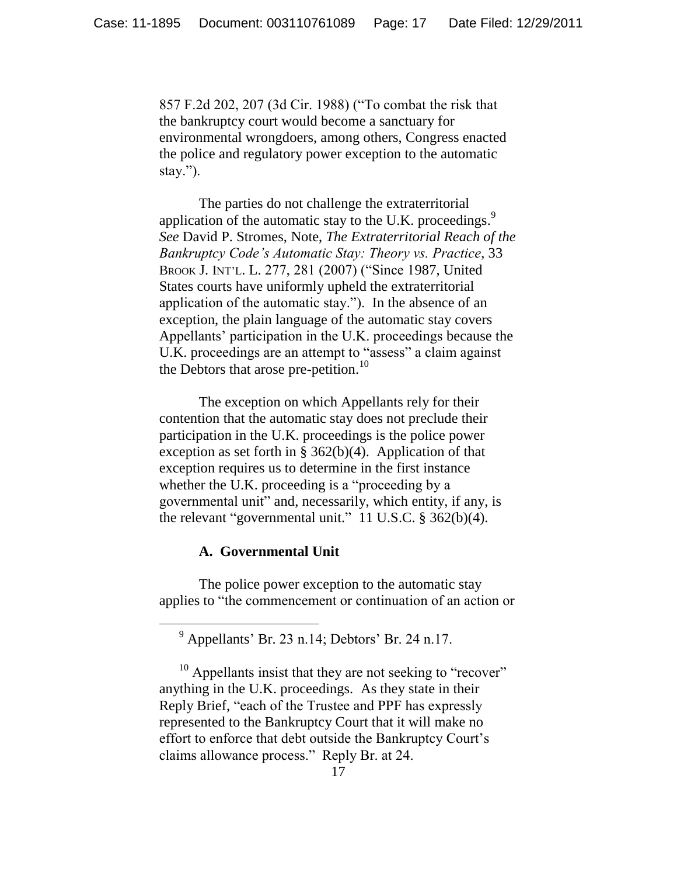857 F.2d 202, 207 (3d Cir. 1988) ("To combat the risk that the bankruptcy court would become a sanctuary for environmental wrongdoers, among others, Congress enacted the police and regulatory power exception to the automatic stay.").

The parties do not challenge the extraterritorial application of the automatic stay to the U.K. proceedings.<sup>9</sup> *See* David P. Stromes, Note, *The Extraterritorial Reach of the Bankruptcy Code's Automatic Stay: Theory vs. Practice*, 33 BROOK J. INT'L. L. 277, 281 (2007) ("Since 1987, United States courts have uniformly upheld the extraterritorial application of the automatic stay."). In the absence of an exception, the plain language of the automatic stay covers Appellants' participation in the U.K. proceedings because the U.K. proceedings are an attempt to "assess" a claim against the Debtors that arose pre-petition.<sup>10</sup>

The exception on which Appellants rely for their contention that the automatic stay does not preclude their participation in the U.K. proceedings is the police power exception as set forth in §  $362(b)(4)$ . Application of that exception requires us to determine in the first instance whether the U.K. proceeding is a "proceeding by a governmental unit" and, necessarily, which entity, if any, is the relevant "governmental unit."  $11$  U.S.C. § 362(b)(4).

# **A. Governmental Unit**

 $\overline{a}$ 

The police power exception to the automatic stay applies to "the commencement or continuation of an action or

<sup>9</sup> Appellants' Br. 23 n.14; Debtors' Br. 24 n.17.

 $10$  Appellants insist that they are not seeking to "recover" anything in the U.K. proceedings. As they state in their Reply Brief, "each of the Trustee and PPF has expressly represented to the Bankruptcy Court that it will make no effort to enforce that debt outside the Bankruptcy Court's claims allowance process." Reply Br. at 24.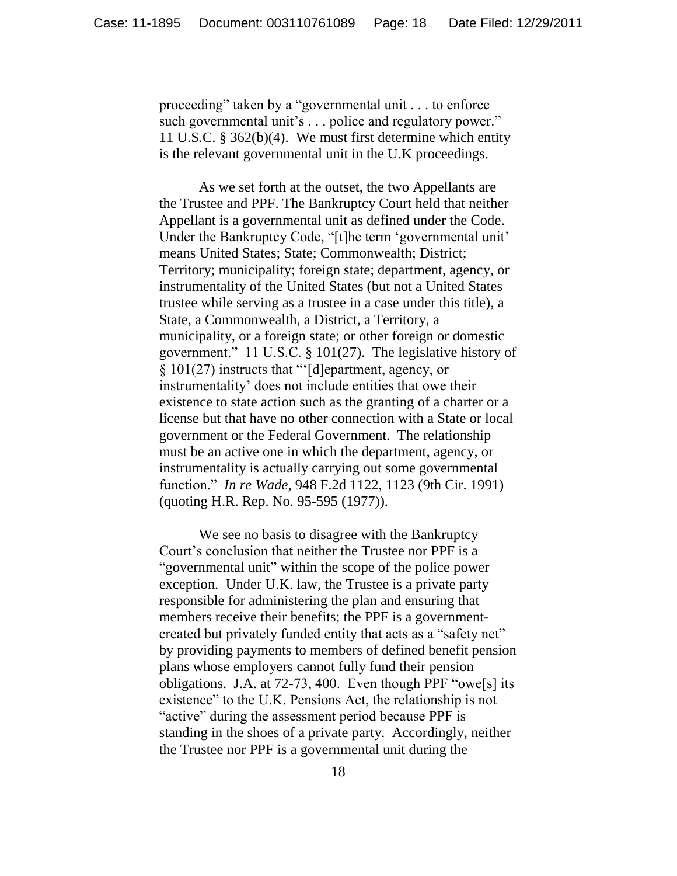proceeding" taken by a "governmental unit . . . to enforce such governmental unit's . . . police and regulatory power." 11 U.S.C. § 362(b)(4). We must first determine which entity is the relevant governmental unit in the U.K proceedings.

As we set forth at the outset, the two Appellants are the Trustee and PPF. The Bankruptcy Court held that neither Appellant is a governmental unit as defined under the Code. Under the Bankruptcy Code, "[t]he term 'governmental unit' means United States; State; Commonwealth; District; Territory; municipality; foreign state; department, agency, or instrumentality of the United States (but not a United States trustee while serving as a trustee in a case under this title), a State, a Commonwealth, a District, a Territory, a municipality, or a foreign state; or other foreign or domestic government." 11 U.S.C.  $\S$  101(27). The legislative history of  $\S 101(27)$  instructs that " $\lceil d \rceil$ epartment, agency, or instrumentality' does not include entities that owe their existence to state action such as the granting of a charter or a license but that have no other connection with a State or local government or the Federal Government. The relationship must be an active one in which the department, agency, or instrumentality is actually carrying out some governmental function.‖ *In re Wade*, 948 F.2d 1122, 1123 (9th Cir. 1991) (quoting H.R. Rep. No. 95-595 (1977)).

We see no basis to disagree with the Bankruptcy Court's conclusion that neither the Trustee nor PPF is a "governmental unit" within the scope of the police power exception. Under U.K. law, the Trustee is a private party responsible for administering the plan and ensuring that members receive their benefits; the PPF is a governmentcreated but privately funded entity that acts as a "safety net" by providing payments to members of defined benefit pension plans whose employers cannot fully fund their pension obligations. J.A. at  $72-73$ , 400. Even though PPF "owe[s] its existence" to the U.K. Pensions Act, the relationship is not "active" during the assessment period because PPF is standing in the shoes of a private party. Accordingly, neither the Trustee nor PPF is a governmental unit during the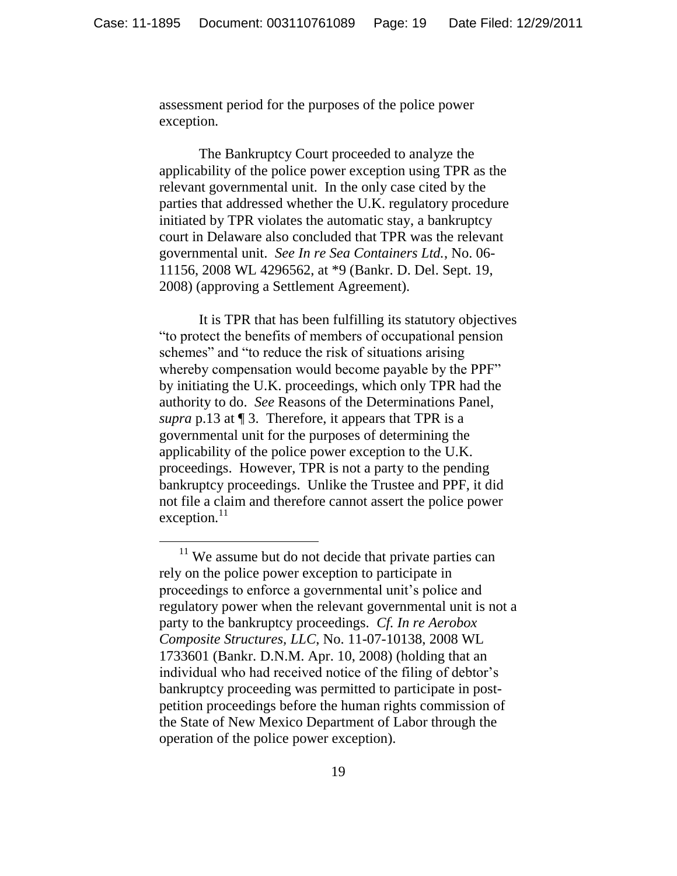assessment period for the purposes of the police power exception.

The Bankruptcy Court proceeded to analyze the applicability of the police power exception using TPR as the relevant governmental unit. In the only case cited by the parties that addressed whether the U.K. regulatory procedure initiated by TPR violates the automatic stay, a bankruptcy court in Delaware also concluded that TPR was the relevant governmental unit. *See In re Sea Containers Ltd.*, No. 06- 11156, 2008 WL 4296562, at \*9 (Bankr. D. Del. Sept. 19, 2008) (approving a Settlement Agreement).

It is TPR that has been fulfilling its statutory objectives ―to protect the benefits of members of occupational pension schemes" and "to reduce the risk of situations arising whereby compensation would become payable by the PPF" by initiating the U.K. proceedings, which only TPR had the authority to do. *See* Reasons of the Determinations Panel, *supra* p.13 at ¶ 3. Therefore, it appears that TPR is a governmental unit for the purposes of determining the applicability of the police power exception to the U.K. proceedings. However, TPR is not a party to the pending bankruptcy proceedings. Unlike the Trustee and PPF, it did not file a claim and therefore cannot assert the police power  $exception.<sup>11</sup>$ 

 $\overline{a}$ 

 $11$  We assume but do not decide that private parties can rely on the police power exception to participate in proceedings to enforce a governmental unit's police and regulatory power when the relevant governmental unit is not a party to the bankruptcy proceedings. *Cf. In re Aerobox Composite Structures, LLC*, No. 11-07-10138, 2008 WL 1733601 (Bankr. D.N.M. Apr. 10, 2008) (holding that an individual who had received notice of the filing of debtor's bankruptcy proceeding was permitted to participate in postpetition proceedings before the human rights commission of the State of New Mexico Department of Labor through the operation of the police power exception).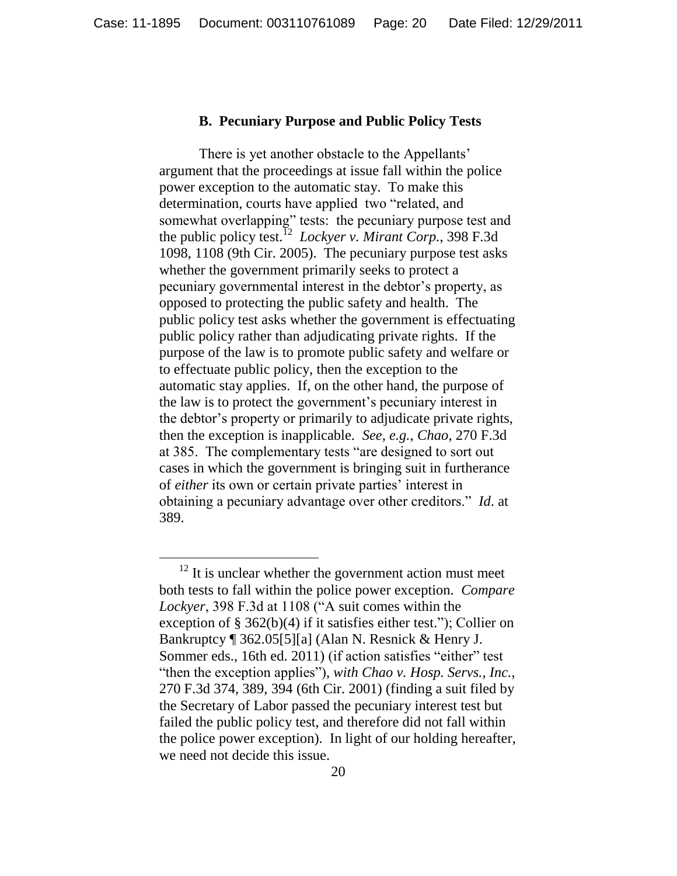## **B. Pecuniary Purpose and Public Policy Tests**

There is yet another obstacle to the Appellants' argument that the proceedings at issue fall within the police power exception to the automatic stay. To make this determination, courts have applied two "related, and somewhat overlapping" tests: the pecuniary purpose test and the public policy test.<sup>12</sup> *Lockyer v. Mirant Corp.*, 398 F.3d 1098, 1108 (9th Cir. 2005). The pecuniary purpose test asks whether the government primarily seeks to protect a pecuniary governmental interest in the debtor's property, as opposed to protecting the public safety and health. The public policy test asks whether the government is effectuating public policy rather than adjudicating private rights. If the purpose of the law is to promote public safety and welfare or to effectuate public policy, then the exception to the automatic stay applies. If, on the other hand, the purpose of the law is to protect the government's pecuniary interest in the debtor's property or primarily to adjudicate private rights, then the exception is inapplicable. *See, e.g.*, *Chao*, 270 F.3d at 385. The complementary tests "are designed to sort out cases in which the government is bringing suit in furtherance of *either* its own or certain private parties' interest in obtaining a pecuniary advantage over other creditors." *Id.* at 389.

 $12$  It is unclear whether the government action must meet both tests to fall within the police power exception. *Compare* Lockyer, 398 F.3d at 1108 ("A suit comes within the exception of  $\S 362(b)(4)$  if it satisfies either test."); Collier on Bankruptcy ¶ 362.05[5][a] (Alan N. Resnick & Henry J. Sommer eds., 16th ed. 2011) (if action satisfies "either" test ―then the exception applies‖), *with Chao v. Hosp. Servs., Inc.*, 270 F.3d 374, 389, 394 (6th Cir. 2001) (finding a suit filed by the Secretary of Labor passed the pecuniary interest test but failed the public policy test, and therefore did not fall within the police power exception). In light of our holding hereafter, we need not decide this issue.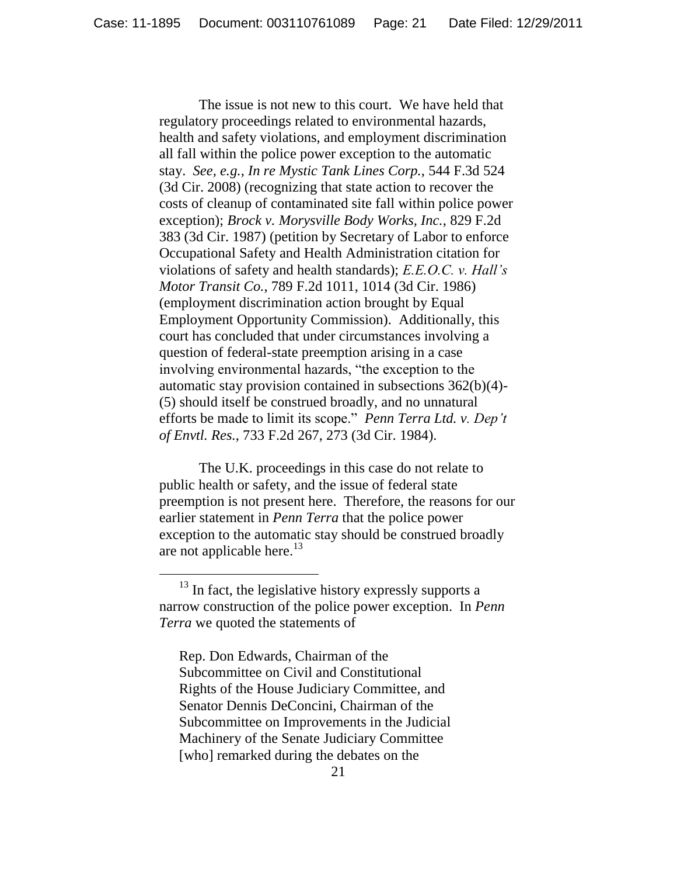The issue is not new to this court. We have held that regulatory proceedings related to environmental hazards, health and safety violations, and employment discrimination all fall within the police power exception to the automatic stay. *See, e.g.*, *In re Mystic Tank Lines Corp.*, 544 F.3d 524 (3d Cir. 2008) (recognizing that state action to recover the costs of cleanup of contaminated site fall within police power exception); *Brock v. Morysville Body Works, Inc.*, 829 F.2d 383 (3d Cir. 1987) (petition by Secretary of Labor to enforce Occupational Safety and Health Administration citation for violations of safety and health standards); *E.E.O.C. v. Hall's Motor Transit Co.*, 789 F.2d 1011, 1014 (3d Cir. 1986) (employment discrimination action brought by Equal Employment Opportunity Commission). Additionally, this court has concluded that under circumstances involving a question of federal-state preemption arising in a case involving environmental hazards, "the exception to the automatic stay provision contained in subsections 362(b)(4)- (5) should itself be construed broadly, and no unnatural efforts be made to limit its scope." *Penn Terra Ltd. v. Dep't of Envtl. Res.*, 733 F.2d 267, 273 (3d Cir. 1984).

The U.K. proceedings in this case do not relate to public health or safety, and the issue of federal state preemption is not present here. Therefore, the reasons for our earlier statement in *Penn Terra* that the police power exception to the automatic stay should be construed broadly are not applicable here.<sup>13</sup>

Rep. Don Edwards, Chairman of the Subcommittee on Civil and Constitutional Rights of the House Judiciary Committee, and Senator Dennis DeConcini, Chairman of the Subcommittee on Improvements in the Judicial Machinery of the Senate Judiciary Committee [who] remarked during the debates on the

 $13$  In fact, the legislative history expressly supports a narrow construction of the police power exception. In *Penn Terra* we quoted the statements of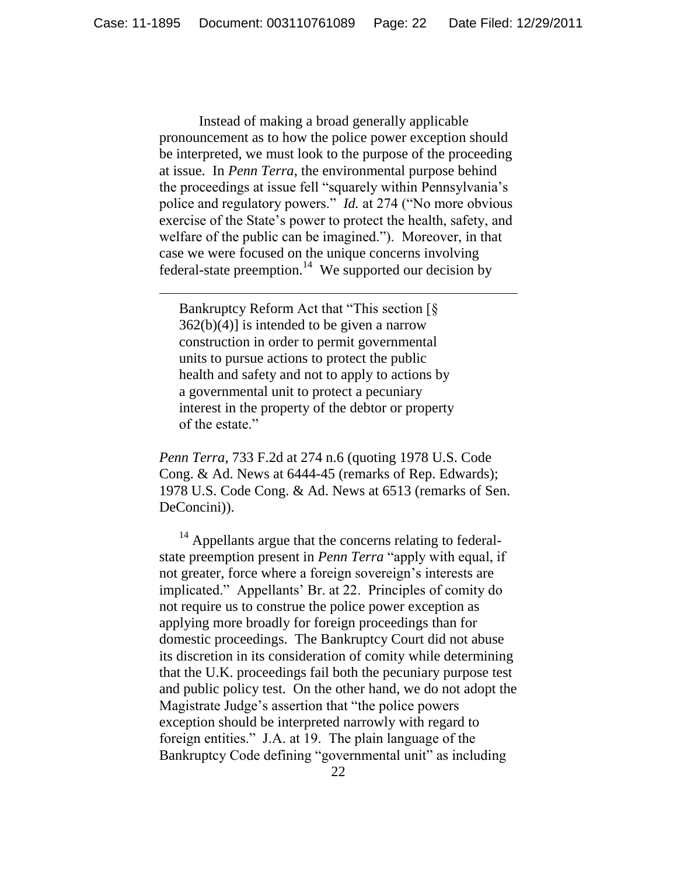Instead of making a broad generally applicable pronouncement as to how the police power exception should be interpreted, we must look to the purpose of the proceeding at issue. In *Penn Terra*, the environmental purpose behind the proceedings at issue fell "squarely within Pennsylvania's police and regulatory powers." *Id.* at 274 ("No more obvious exercise of the State's power to protect the health, safety, and welfare of the public can be imagined."). Moreover, in that case we were focused on the unique concerns involving federal-state preemption.<sup>14</sup> We supported our decision by

Bankruptcy Reform Act that "This section  $\lceil \xi \rceil$ 362(b)(4)] is intended to be given a narrow construction in order to permit governmental units to pursue actions to protect the public health and safety and not to apply to actions by a governmental unit to protect a pecuniary interest in the property of the debtor or property of the estate."

*Penn Terra*, 733 F.2d at 274 n.6 (quoting 1978 U.S. Code Cong. & Ad. News at 6444-45 (remarks of Rep. Edwards); 1978 U.S. Code Cong. & Ad. News at 6513 (remarks of Sen. DeConcini)).

<sup>14</sup> Appellants argue that the concerns relating to federalstate preemption present in *Penn Terra* "apply with equal, if not greater, force where a foreign sovereign's interests are implicated." Appellants' Br. at 22. Principles of comity do not require us to construe the police power exception as applying more broadly for foreign proceedings than for domestic proceedings. The Bankruptcy Court did not abuse its discretion in its consideration of comity while determining that the U.K. proceedings fail both the pecuniary purpose test and public policy test. On the other hand, we do not adopt the Magistrate Judge's assertion that "the police powers" exception should be interpreted narrowly with regard to foreign entities." J.A. at 19. The plain language of the Bankruptcy Code defining "governmental unit" as including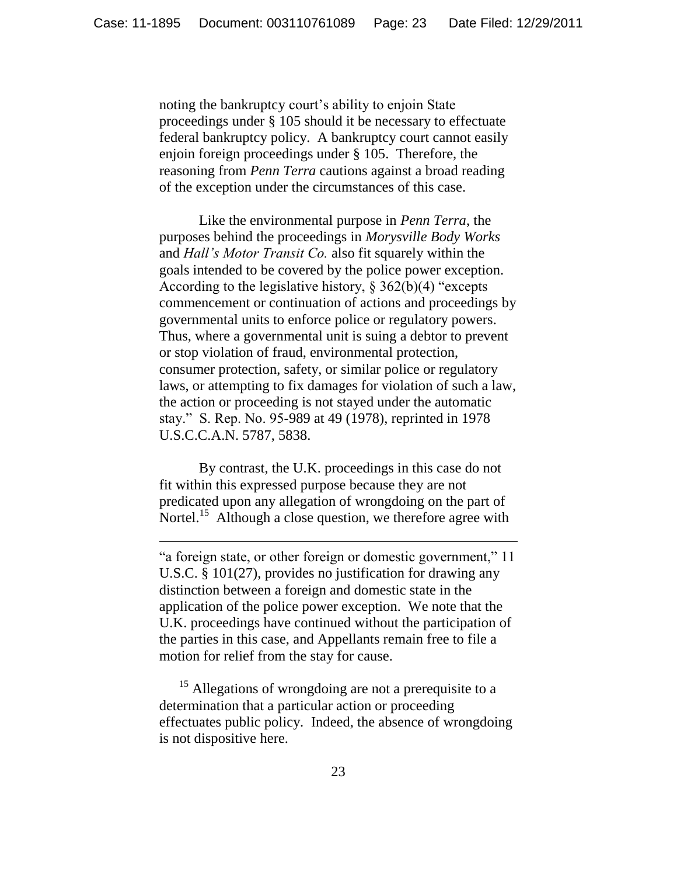noting the bankruptcy court's ability to enjoin State proceedings under § 105 should it be necessary to effectuate federal bankruptcy policy. A bankruptcy court cannot easily enjoin foreign proceedings under § 105. Therefore, the reasoning from *Penn Terra* cautions against a broad reading of the exception under the circumstances of this case.

Like the environmental purpose in *Penn Terra*, the purposes behind the proceedings in *Morysville Body Works*  and *Hall's Motor Transit Co.* also fit squarely within the goals intended to be covered by the police power exception. According to the legislative history,  $\S 362(b)(4)$  "excepts commencement or continuation of actions and proceedings by governmental units to enforce police or regulatory powers. Thus, where a governmental unit is suing a debtor to prevent or stop violation of fraud, environmental protection, consumer protection, safety, or similar police or regulatory laws, or attempting to fix damages for violation of such a law, the action or proceeding is not stayed under the automatic stay.‖ S. Rep. No. 95-989 at 49 (1978), reprinted in 1978 U.S.C.C.A.N. 5787, 5838.

By contrast, the U.K. proceedings in this case do not fit within this expressed purpose because they are not predicated upon any allegation of wrongdoing on the part of Nortel.<sup>15</sup> Although a close question, we therefore agree with

 $\overline{a}$ 

"a foreign state, or other foreign or domestic government," 11 U.S.C. § 101(27), provides no justification for drawing any distinction between a foreign and domestic state in the application of the police power exception. We note that the U.K. proceedings have continued without the participation of the parties in this case, and Appellants remain free to file a motion for relief from the stay for cause.

 $15$  Allegations of wrongdoing are not a prerequisite to a determination that a particular action or proceeding effectuates public policy. Indeed, the absence of wrongdoing is not dispositive here.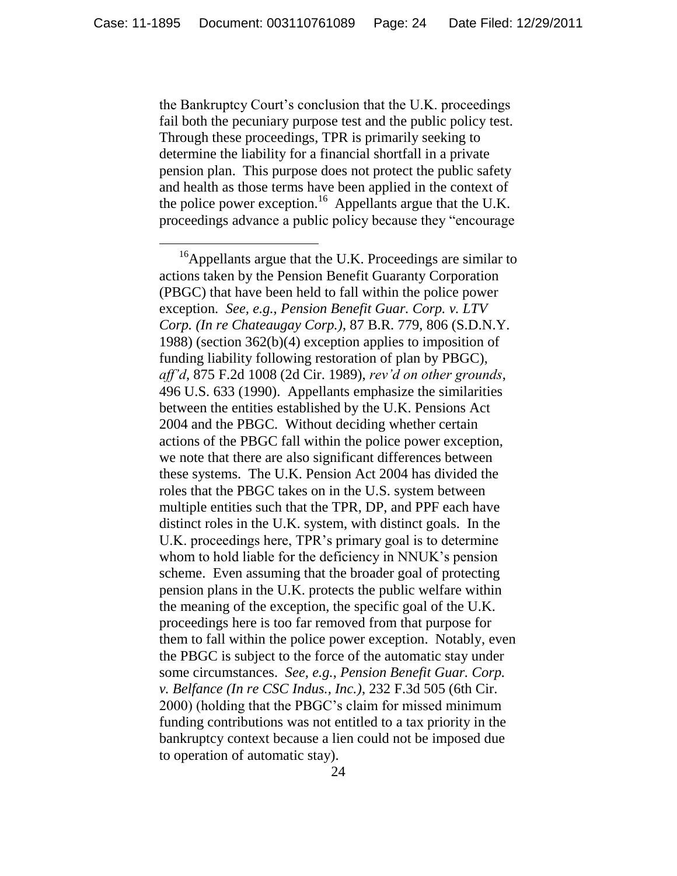the Bankruptcy Court's conclusion that the U.K. proceedings fail both the pecuniary purpose test and the public policy test. Through these proceedings, TPR is primarily seeking to determine the liability for a financial shortfall in a private pension plan. This purpose does not protect the public safety and health as those terms have been applied in the context of the police power exception.<sup>16</sup> Appellants argue that the U.K. proceedings advance a public policy because they "encourage

 $\overline{a}$ 

<sup>&</sup>lt;sup>16</sup>Appellants argue that the U.K. Proceedings are similar to actions taken by the Pension Benefit Guaranty Corporation (PBGC) that have been held to fall within the police power exception. *See, e.g.*, *Pension Benefit Guar. Corp. v. LTV Corp. (In re Chateaugay Corp.)*, 87 B.R. 779, 806 (S.D.N.Y. 1988) (section 362(b)(4) exception applies to imposition of funding liability following restoration of plan by PBGC), *aff'd*, 875 F.2d 1008 (2d Cir. 1989), *rev'd on other grounds*, 496 U.S. 633 (1990). Appellants emphasize the similarities between the entities established by the U.K. Pensions Act 2004 and the PBGC. Without deciding whether certain actions of the PBGC fall within the police power exception, we note that there are also significant differences between these systems. The U.K. Pension Act 2004 has divided the roles that the PBGC takes on in the U.S. system between multiple entities such that the TPR, DP, and PPF each have distinct roles in the U.K. system, with distinct goals. In the U.K. proceedings here, TPR's primary goal is to determine whom to hold liable for the deficiency in NNUK's pension scheme. Even assuming that the broader goal of protecting pension plans in the U.K. protects the public welfare within the meaning of the exception, the specific goal of the U.K. proceedings here is too far removed from that purpose for them to fall within the police power exception. Notably, even the PBGC is subject to the force of the automatic stay under some circumstances. *See, e.g.*, *Pension Benefit Guar. Corp. v. Belfance (In re CSC Indus., Inc.)*, 232 F.3d 505 (6th Cir. 2000) (holding that the PBGC's claim for missed minimum funding contributions was not entitled to a tax priority in the bankruptcy context because a lien could not be imposed due to operation of automatic stay).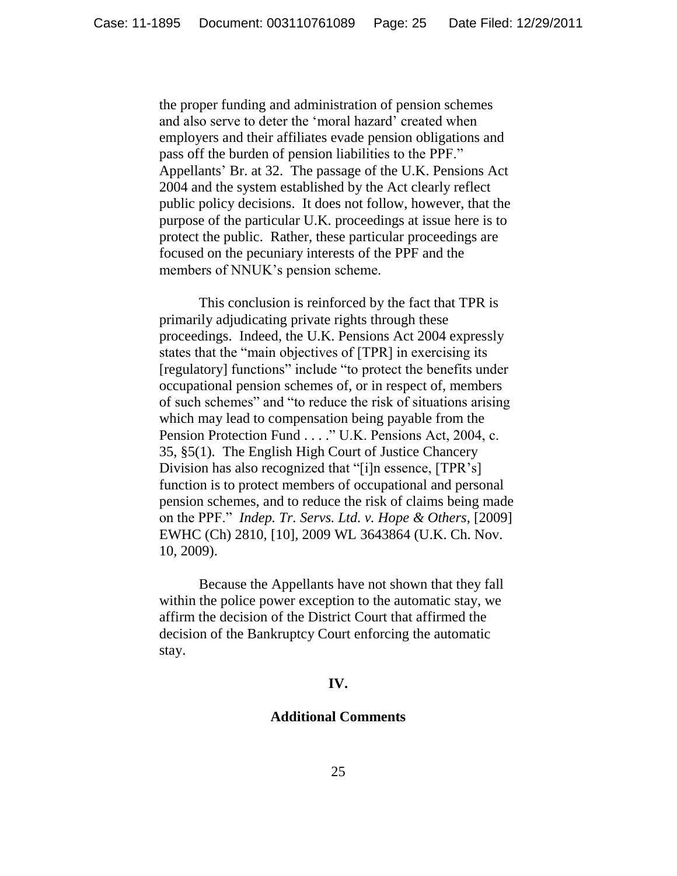the proper funding and administration of pension schemes and also serve to deter the 'moral hazard' created when employers and their affiliates evade pension obligations and pass off the burden of pension liabilities to the PPF." Appellants' Br. at 32. The passage of the U.K. Pensions Act 2004 and the system established by the Act clearly reflect public policy decisions. It does not follow, however, that the purpose of the particular U.K. proceedings at issue here is to protect the public. Rather, these particular proceedings are focused on the pecuniary interests of the PPF and the members of NNUK's pension scheme.

This conclusion is reinforced by the fact that TPR is primarily adjudicating private rights through these proceedings. Indeed, the U.K. Pensions Act 2004 expressly states that the "main objectives of [TPR] in exercising its [regulatory] functions" include "to protect the benefits under occupational pension schemes of, or in respect of, members of such schemes" and "to reduce the risk of situations arising which may lead to compensation being payable from the Pension Protection Fund . . . ." U.K. Pensions Act, 2004, c. 35, §5(1). The English High Court of Justice Chancery Division has also recognized that "[i]n essence, [TPR's] function is to protect members of occupational and personal pension schemes, and to reduce the risk of claims being made on the PPF.‖ *Indep. Tr. Servs. Ltd. v. Hope & Others*, [2009] EWHC (Ch) 2810, [10], 2009 WL 3643864 (U.K. Ch. Nov. 10, 2009).

Because the Appellants have not shown that they fall within the police power exception to the automatic stay, we affirm the decision of the District Court that affirmed the decision of the Bankruptcy Court enforcing the automatic stay.

## **IV.**

# **Additional Comments**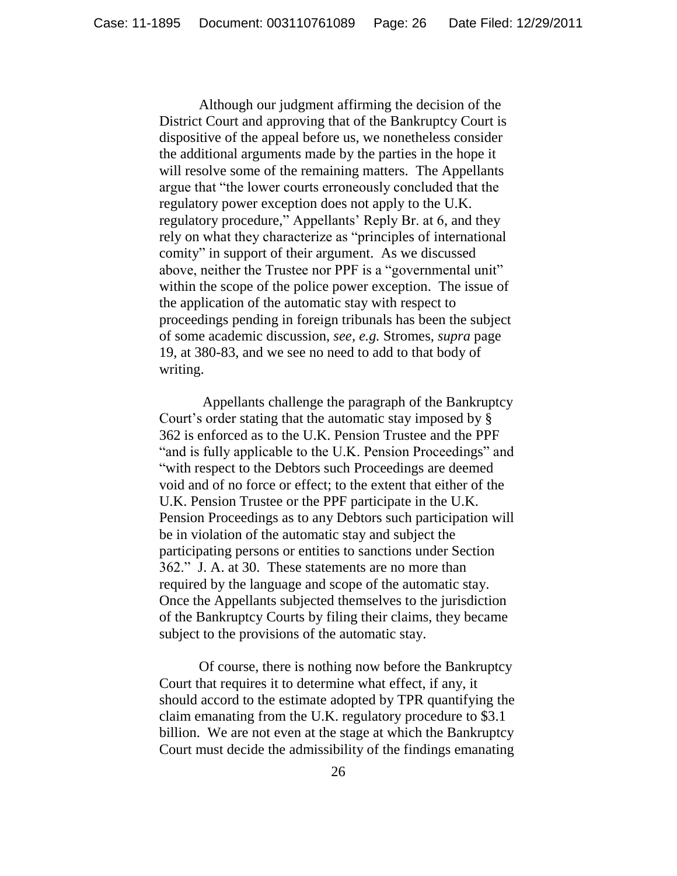Although our judgment affirming the decision of the District Court and approving that of the Bankruptcy Court is dispositive of the appeal before us, we nonetheless consider the additional arguments made by the parties in the hope it will resolve some of the remaining matters. The Appellants argue that "the lower courts erroneously concluded that the regulatory power exception does not apply to the U.K. regulatory procedure," Appellants' Reply Br. at 6, and they rely on what they characterize as "principles of international comity" in support of their argument. As we discussed above, neither the Trustee nor PPF is a "governmental unit" within the scope of the police power exception. The issue of the application of the automatic stay with respect to proceedings pending in foreign tribunals has been the subject of some academic discussion, *see, e.g.* Stromes, *supra* page 19, at 380-83, and we see no need to add to that body of writing.

Appellants challenge the paragraph of the Bankruptcy Court's order stating that the automatic stay imposed by § 362 is enforced as to the U.K. Pension Trustee and the PPF "and is fully applicable to the U.K. Pension Proceedings" and "with respect to the Debtors such Proceedings are deemed void and of no force or effect; to the extent that either of the U.K. Pension Trustee or the PPF participate in the U.K. Pension Proceedings as to any Debtors such participation will be in violation of the automatic stay and subject the participating persons or entities to sanctions under Section 362." J. A. at 30. These statements are no more than required by the language and scope of the automatic stay. Once the Appellants subjected themselves to the jurisdiction of the Bankruptcy Courts by filing their claims, they became subject to the provisions of the automatic stay.

Of course, there is nothing now before the Bankruptcy Court that requires it to determine what effect, if any, it should accord to the estimate adopted by TPR quantifying the claim emanating from the U.K. regulatory procedure to \$3.1 billion. We are not even at the stage at which the Bankruptcy Court must decide the admissibility of the findings emanating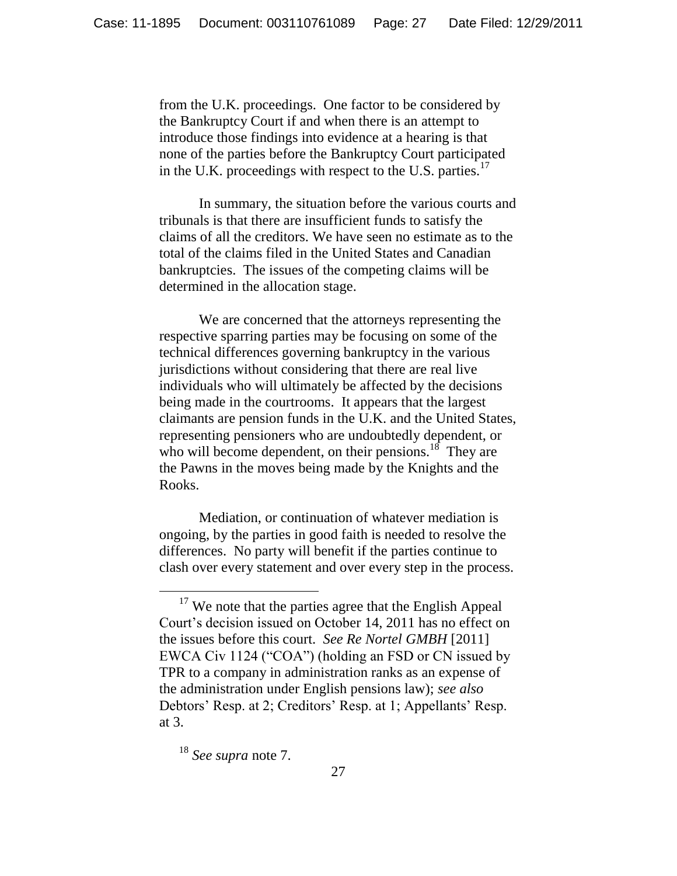from the U.K. proceedings. One factor to be considered by the Bankruptcy Court if and when there is an attempt to introduce those findings into evidence at a hearing is that none of the parties before the Bankruptcy Court participated in the U.K. proceedings with respect to the U.S. parties.<sup>17</sup>

In summary, the situation before the various courts and tribunals is that there are insufficient funds to satisfy the claims of all the creditors. We have seen no estimate as to the total of the claims filed in the United States and Canadian bankruptcies. The issues of the competing claims will be determined in the allocation stage.

We are concerned that the attorneys representing the respective sparring parties may be focusing on some of the technical differences governing bankruptcy in the various jurisdictions without considering that there are real live individuals who will ultimately be affected by the decisions being made in the courtrooms. It appears that the largest claimants are pension funds in the U.K. and the United States, representing pensioners who are undoubtedly dependent, or who will become dependent, on their pensions.<sup>18</sup> They are the Pawns in the moves being made by the Knights and the Rooks.

Mediation, or continuation of whatever mediation is ongoing, by the parties in good faith is needed to resolve the differences. No party will benefit if the parties continue to clash over every statement and over every step in the process.

 $17$  We note that the parties agree that the English Appeal Court's decision issued on October 14, 2011 has no effect on the issues before this court. *See Re Nortel GMBH* [2011] EWCA Civ 1124 ("COA") (holding an FSD or CN issued by TPR to a company in administration ranks as an expense of the administration under English pensions law); *see also* Debtors' Resp. at 2; Creditors' Resp. at 1; Appellants' Resp. at 3.

<sup>18</sup> *See supra* note 7.